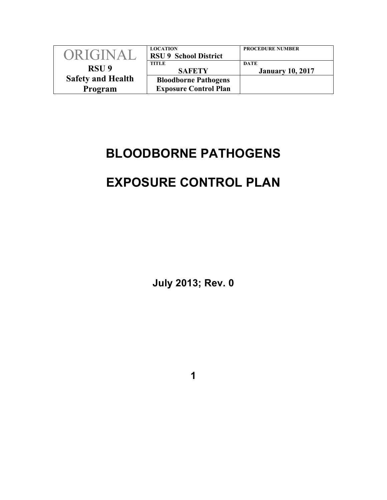| ORIGINAL                 | <b>LOCATION</b><br><b>RSU 9 School District</b> | <b>PROCEDURE NUMBER</b>                |
|--------------------------|-------------------------------------------------|----------------------------------------|
| RSU <sub>9</sub>         | TITLE<br><b>SAFETY</b>                          | <b>DATE</b><br><b>January 10, 2017</b> |
| <b>Safety and Health</b> | <b>Bloodborne Pathogens</b>                     |                                        |
| Program                  | <b>Exposure Control Plan</b>                    |                                        |

# **BLOODBORNE PATHOGENS**

# **EXPOSURE CONTROL PLAN**

**July 2013; Rev. 0**

**1**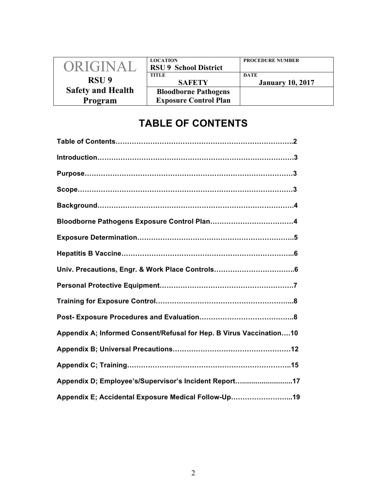| ORIGINAL                 | <b>LOCATION</b><br><b>RSU 9 School District</b> | <b>PROCEDURE NUMBER</b>                |
|--------------------------|-------------------------------------------------|----------------------------------------|
| RSU <sub>9</sub>         | <b>TITLE</b><br><b>SAFETY</b>                   | <b>DATE</b><br><b>January 10, 2017</b> |
| <b>Safety and Health</b> | <b>Bloodborne Pathogens</b>                     |                                        |
| Program                  | <b>Exposure Control Plan</b>                    |                                        |

# **TABLE OF CONTENTS**

| Appendix A; Informed Consent/Refusal for Hep. B Virus Vaccination 10 |
|----------------------------------------------------------------------|
|                                                                      |
|                                                                      |
| Appendix D; Employee's/Supervisor's Incident Report17                |
| Appendix E; Accidental Exposure Medical Follow-Up19                  |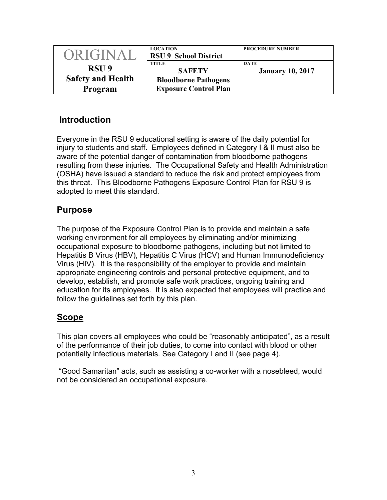| ORIGINAL                 | <b>LOCATION</b><br><b>RSU 9 School District</b> | <b>PROCEDURE NUMBER</b>         |
|--------------------------|-------------------------------------------------|---------------------------------|
| RSU <sub>9</sub>         | TITLE<br><b>SAFETY</b>                          | DATE<br><b>January 10, 2017</b> |
| <b>Safety and Health</b> | <b>Bloodborne Pathogens</b>                     |                                 |
| Program                  | <b>Exposure Control Plan</b>                    |                                 |

## **Introduction**

Everyone in the RSU 9 educational setting is aware of the daily potential for injury to students and staff. Employees defined in Category I & II must also be aware of the potential danger of contamination from bloodborne pathogens resulting from these injuries. The Occupational Safety and Health Administration (OSHA) have issued a standard to reduce the risk and protect employees from this threat. This Bloodborne Pathogens Exposure Control Plan for RSU 9 is adopted to meet this standard.

## **Purpose**

The purpose of the Exposure Control Plan is to provide and maintain a safe working environment for all employees by eliminating and/or minimizing occupational exposure to bloodborne pathogens, including but not limited to Hepatitis B Virus (HBV), Hepatitis C Virus (HCV) and Human Immunodeficiency Virus (HIV). It is the responsibility of the employer to provide and maintain appropriate engineering controls and personal protective equipment, and to develop, establish, and promote safe work practices, ongoing training and education for its employees. It is also expected that employees will practice and follow the guidelines set forth by this plan.

## **Scope**

This plan covers all employees who could be "reasonably anticipated", as a result of the performance of their job duties, to come into contact with blood or other potentially infectious materials. See Category I and II (see page 4).

"Good Samaritan" acts, such as assisting a co-worker with a nosebleed, would not be considered an occupational exposure.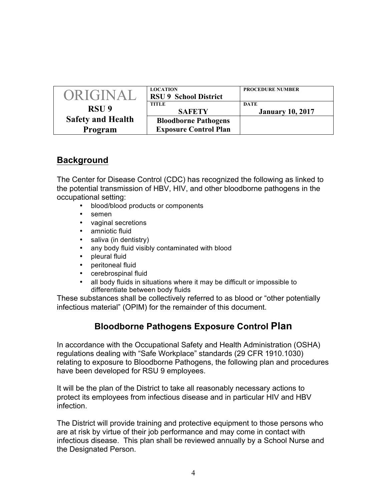| ORIGINAL                 | <b>LOCATION</b><br><b>RSU 9 School District</b> | <b>PROCEDURE NUMBER</b>         |
|--------------------------|-------------------------------------------------|---------------------------------|
| RSU <sub>9</sub>         | TITLE<br><b>SAFETY</b>                          | DATE<br><b>January 10, 2017</b> |
| <b>Safety and Health</b> | <b>Bloodborne Pathogens</b>                     |                                 |
| Program                  | <b>Exposure Control Plan</b>                    |                                 |

## **Background**

The Center for Disease Control (CDC) has recognized the following as linked to the potential transmission of HBV, HIV, and other bloodborne pathogens in the occupational setting:

- blood/blood products or components
- semen
- vaginal secretions<br>• amniotic fluid
- amniotic fluid
- saliva (in dentistry)
- any body fluid visibly contaminated with blood
- pleural fluid
- peritoneal fluid
- cerebrospinal fluid
- all body fluids in situations where it may be difficult or impossible to differentiate between body fluids

These substances shall be collectively referred to as blood or "other potentially infectious material" (OPIM) for the remainder of this document.

## **Bloodborne Pathogens Exposure Control Plan**

In accordance with the Occupational Safety and Health Administration (OSHA) regulations dealing with "Safe Workplace" standards (29 CFR 1910.1030) relating to exposure to Bloodborne Pathogens, the following plan and procedures have been developed for RSU 9 employees.

It will be the plan of the District to take all reasonably necessary actions to protect its employees from infectious disease and in particular HIV and HBV infection.

The District will provide training and protective equipment to those persons who are at risk by virtue of their job performance and may come in contact with infectious disease. This plan shall be reviewed annually by a School Nurse and the Designated Person.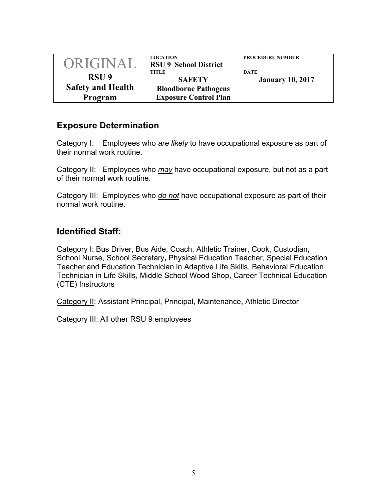| <b>ORIGINAL</b>          | <b>LOCATION</b><br><b>RSU 9 School District</b> | <b>PROCEDURE NUMBER</b>         |
|--------------------------|-------------------------------------------------|---------------------------------|
| RSU <sub>9</sub>         | TITLE<br><b>SAFETY</b>                          | DATE<br><b>January 10, 2017</b> |
| <b>Safety and Health</b> | <b>Bloodborne Pathogens</b>                     |                                 |
| Program                  | <b>Exposure Control Plan</b>                    |                                 |

## **Exposure Determination**

Category I: Employees who *are likely* to have occupational exposure as part of their normal work routine.

Category II: Employees who *may* have occupational exposure, but not as a part of their normal work routine.

Category III: Employees who *do not* have occupational exposure as part of their normal work routine.

## **Identified Staff:**

Category I: Bus Driver, Bus Aide, Coach, Athletic Trainer, Cook, Custodian, School Nurse, School Secretary**,** Physical Education Teacher, Special Education Teacher and Education Technician in Adaptive Life Skills, Behavioral Education Technician in Life Skills, Middle School Wood Shop, Career Technical Education (CTE) Instructors

Category II: Assistant Principal, Principal, Maintenance, Athletic Director

Category III: All other RSU 9 employees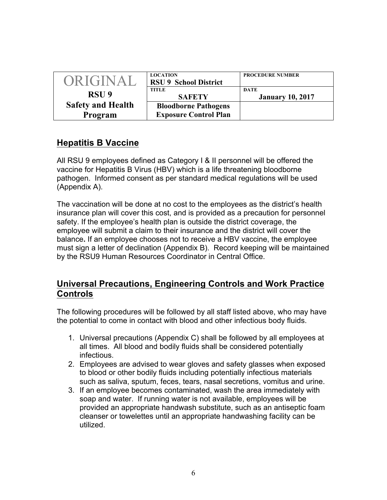| <b>ORIGINAL</b>          | <b>LOCATION</b><br><b>RSU 9 School District</b> | <b>PROCEDURE NUMBER</b>         |
|--------------------------|-------------------------------------------------|---------------------------------|
| RSU <sub>9</sub>         | TITLE<br><b>SAFETY</b>                          | DATE<br><b>January 10, 2017</b> |
| <b>Safety and Health</b> | <b>Bloodborne Pathogens</b>                     |                                 |
| Program                  | <b>Exposure Control Plan</b>                    |                                 |

## **Hepatitis B Vaccine**

All RSU 9 employees defined as Category I & II personnel will be offered the vaccine for Hepatitis B Virus (HBV) which is a life threatening bloodborne pathogen. Informed consent as per standard medical regulations will be used (Appendix A).

The vaccination will be done at no cost to the employees as the district's health insurance plan will cover this cost, and is provided as a precaution for personnel safety. If the employee's health plan is outside the district coverage, the employee will submit a claim to their insurance and the district will cover the balance**.** If an employee chooses not to receive a HBV vaccine, the employee must sign a letter of declination (Appendix B). Record keeping will be maintained by the RSU9 Human Resources Coordinator in Central Office.

## **Universal Precautions, Engineering Controls and Work Practice Controls**

The following procedures will be followed by all staff listed above, who may have the potential to come in contact with blood and other infectious body fluids.

- 1. Universal precautions (Appendix C) shall be followed by all employees at all times. All blood and bodily fluids shall be considered potentially infectious.
- 2. Employees are advised to wear gloves and safety glasses when exposed to blood or other bodily fluids including potentially infectious materials such as saliva, sputum, feces, tears, nasal secretions, vomitus and urine.
- 3. If an employee becomes contaminated, wash the area immediately with soap and water. If running water is not available, employees will be provided an appropriate handwash substitute, such as an antiseptic foam cleanser or towelettes until an appropriate handwashing facility can be utilized.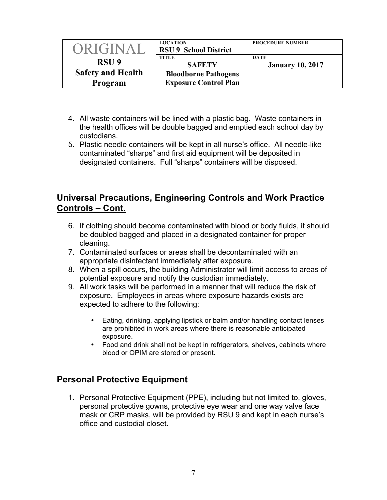| ORIGINAL                 | <b>LOCATION</b><br><b>RSU 9 School District</b> | <b>PROCEDURE NUMBER</b>         |
|--------------------------|-------------------------------------------------|---------------------------------|
| RSU <sub>9</sub>         | <b>TITLE</b><br><b>SAFETY</b>                   | DATE<br><b>January 10, 2017</b> |
| <b>Safety and Health</b> | <b>Bloodborne Pathogens</b>                     |                                 |
| Program                  | <b>Exposure Control Plan</b>                    |                                 |

- 4. All waste containers will be lined with a plastic bag. Waste containers in the health offices will be double bagged and emptied each school day by custodians.
- 5. Plastic needle containers will be kept in all nurse's office. All needle-like contaminated "sharps" and first aid equipment will be deposited in designated containers. Full "sharps" containers will be disposed.

## **Universal Precautions, Engineering Controls and Work Practice Controls – Cont.**

- 6. If clothing should become contaminated with blood or body fluids, it should be doubled bagged and placed in a designated container for proper cleaning.
- 7. Contaminated surfaces or areas shall be decontaminated with an appropriate disinfectant immediately after exposure.
- 8. When a spill occurs, the building Administrator will limit access to areas of potential exposure and notify the custodian immediately.
- 9. All work tasks will be performed in a manner that will reduce the risk of exposure. Employees in areas where exposure hazards exists are expected to adhere to the following:
	- Eating, drinking, applying lipstick or balm and/or handling contact lenses are prohibited in work areas where there is reasonable anticipated exposure.
	- Food and drink shall not be kept in refrigerators, shelves, cabinets where blood or OPIM are stored or present.

## **Personal Protective Equipment**

1. Personal Protective Equipment (PPE), including but not limited to, gloves, personal protective gowns, protective eye wear and one way valve face mask or CRP masks, will be provided by RSU 9 and kept in each nurse's office and custodial closet.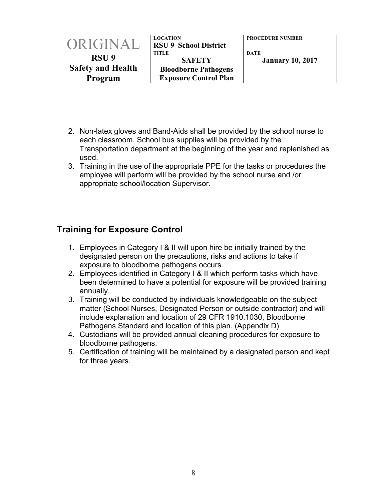| <b>ORIGINAL</b>          | <b>LOCATION</b><br><b>RSU 9 School District</b> | <b>PROCEDURE NUMBER</b>         |
|--------------------------|-------------------------------------------------|---------------------------------|
| RSU <sub>9</sub>         | TITLE<br><b>SAFETY</b>                          | DATE<br><b>January 10, 2017</b> |
| <b>Safety and Health</b> | <b>Bloodborne Pathogens</b>                     |                                 |
| Program                  | <b>Exposure Control Plan</b>                    |                                 |

- 2. Non-latex gloves and Band-Aids shall be provided by the school nurse to each classroom. School bus supplies will be provided by the Transportation department at the beginning of the year and replenished as used.
- 3. Training in the use of the appropriate PPE for the tasks or procedures the employee will perform will be provided by the school nurse and /or appropriate school/location Supervisor.

## **Training for Exposure Control**

- 1. Employees in Category I & II will upon hire be initially trained by the designated person on the precautions, risks and actions to take if exposure to bloodborne pathogens occurs.
- 2. Employees identified in Category I & II which perform tasks which have been determined to have a potential for exposure will be provided training annually.
- 3. Training will be conducted by individuals knowledgeable on the subject matter (School Nurses, Designated Person or outside contractor) and will include explanation and location of 29 CFR 1910.1030, Bloodborne Pathogens Standard and location of this plan. (Appendix D)
- 4. Custodians will be provided annual cleaning procedures for exposure to bloodborne pathogens.
- 5. Certification of training will be maintained by a designated person and kept for three years.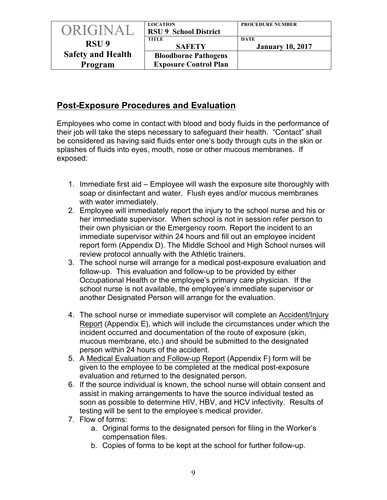| ORIGINAL                 | <b>LOCATION</b><br><b>RSU 9 School District</b>             | <b>PROCEDURE NUMBER</b>         |
|--------------------------|-------------------------------------------------------------|---------------------------------|
| RSU <sub>9</sub>         | <b>TITLE</b><br><b>SAFETY</b>                               | DATE<br><b>January 10, 2017</b> |
| <b>Safety and Health</b> | <b>Bloodborne Pathogens</b><br><b>Exposure Control Plan</b> |                                 |
| Program                  |                                                             |                                 |

# **Post-Exposure Procedures and Evaluation**

Employees who come in contact with blood and body fluids in the performance of their job will take the steps necessary to safeguard their health. "Contact" shall be considered as having said fluids enter one's body through cuts in the skin or splashes of fluids into eyes, mouth, nose or other mucous membranes. If exposed:

- 1. Immediate first aid Employee will wash the exposure site thoroughly with soap or disinfectant and water. Flush eyes and/or mucous membranes with water immediately.
- 2. Employee will immediately report the injury to the school nurse and his or her immediate supervisor. When school is not in session refer person to their own physician or the Emergency room. Report the incident to an immediate supervisor within 24 hours and fill out an employee incident report form (Appendix D). The Middle School and High School nurses will review protocol annually with the Athletic trainers.
- 3. The school nurse will arrange for a medical post-exposure evaluation and follow-up. This evaluation and follow-up to be provided by either Occupational Health or the employee's primary care physician. If the school nurse is not available, the employee's immediate supervisor or another Designated Person will arrange for the evaluation.
- 4. The school nurse or immediate supervisor will complete an Accident/Injury Report (Appendix E), which will include the circumstances under which the incident occurred and documentation of the route of exposure (skin, mucous membrane, etc.) and should be submitted to the designated person within 24 hours of the accident.
- 5. A Medical Evaluation and Follow-up Report (Appendix F) form will be given to the employee to be completed at the medical post-exposure evaluation and returned to the designated person.
- 6. If the source individual is known, the school nurse will obtain consent and assist in making arrangements to have the source individual tested as soon as possible to determine HIV, HBV, and HCV infectivity. Results of testing will be sent to the employee's medical provider.
- 7. Flow of forms:
	- a. Original forms to the designated person for filing in the Worker's compensation files.
	- b. Copies of forms to be kept at the school for further follow-up.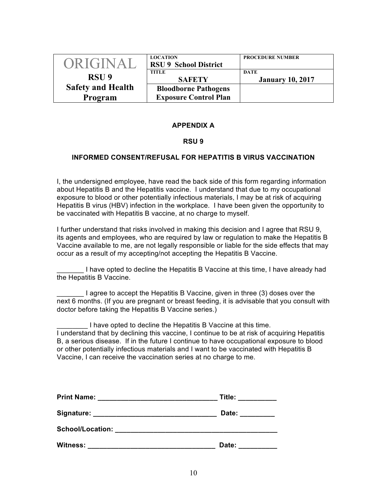| ORIGINAL                 | <b>LOCATION</b><br><b>RSU 9 School District</b> | <b>PROCEDURE NUMBER</b>         |
|--------------------------|-------------------------------------------------|---------------------------------|
| RSU <sub>9</sub>         | TITLE<br><b>SAFETY</b>                          | DATE<br><b>January 10, 2017</b> |
| <b>Safety and Health</b> | <b>Bloodborne Pathogens</b>                     |                                 |
| Program                  | <b>Exposure Control Plan</b>                    |                                 |

#### **APPENDIX A**

#### **RSU 9**

#### **INFORMED CONSENT/REFUSAL FOR HEPATITIS B VIRUS VACCINATION**

I, the undersigned employee, have read the back side of this form regarding information about Hepatitis B and the Hepatitis vaccine. I understand that due to my occupational exposure to blood or other potentially infectious materials, I may be at risk of acquiring Hepatitis B virus (HBV) infection in the workplace. I have been given the opportunity to be vaccinated with Hepatitis B vaccine, at no charge to myself.

I further understand that risks involved in making this decision and I agree that RSU 9, its agents and employees, who are required by law or regulation to make the Hepatitis B Vaccine available to me, are not legally responsible or liable for the side effects that may occur as a result of my accepting/not accepting the Hepatitis B Vaccine.

I have opted to decline the Hepatitis B Vaccine at this time, I have already had the Hepatitis B Vaccine.

I agree to accept the Hepatitis B Vaccine, given in three (3) doses over the next 6 months. (If you are pregnant or breast feeding, it is advisable that you consult with doctor before taking the Hepatitis B Vaccine series.)

I have opted to decline the Hepatitis B Vaccine at this time. I understand that by declining this vaccine, I continue to be at risk of acquiring Hepatitis B, a serious disease. If in the future I continue to have occupational exposure to blood or other potentially infectious materials and I want to be vaccinated with Hepatitis B Vaccine, I can receive the vaccination series at no charge to me.

| <b>Print Name:</b>      | Title: |
|-------------------------|--------|
| Signature:              | Date:  |
| <b>School/Location:</b> |        |
| <b>Witness:</b>         | Date:  |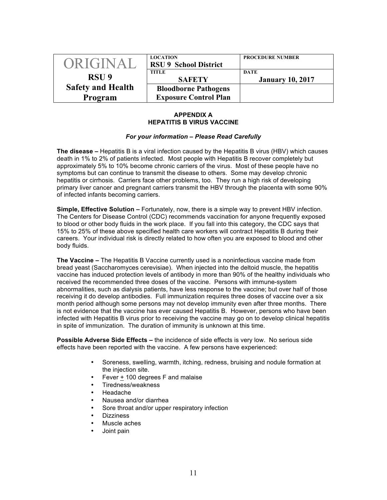| ORIGINAL                 | <b>LOCATION</b><br><b>RSU 9 School District</b> | <b>PROCEDURE NUMBER</b>         |  |
|--------------------------|-------------------------------------------------|---------------------------------|--|
| RSU <sub>9</sub>         | TITLE<br><b>SAFETY</b>                          | DATE<br><b>January 10, 2017</b> |  |
| <b>Safety and Health</b> | <b>Bloodborne Pathogens</b>                     |                                 |  |
| Program                  | <b>Exposure Control Plan</b>                    |                                 |  |

#### **APPENDIX A HEPATITIS B VIRUS VACCINE**

#### *For your information – Please Read Carefully*

**The disease –** Hepatitis B is a viral infection caused by the Hepatitis B virus (HBV) which causes death in 1% to 2% of patients infected. Most people with Hepatitis B recover completely but approximately 5% to 10% become chronic carriers of the virus. Most of these people have no symptoms but can continue to transmit the disease to others. Some may develop chronic hepatitis or cirrhosis. Carriers face other problems, too. They run a high risk of developing primary liver cancer and pregnant carriers transmit the HBV through the placenta with some 90% of infected infants becoming carriers.

**Simple, Effective Solution –** Fortunately, now, there is a simple way to prevent HBV infection. The Centers for Disease Control (CDC) recommends vaccination for anyone frequently exposed to blood or other body fluids in the work place. If you fall into this category, the CDC says that 15% to 25% of these above specified health care workers will contract Hepatitis B during their careers. Your individual risk is directly related to how often you are exposed to blood and other body fluids.

**The Vaccine –** The Hepatitis B Vaccine currently used is a noninfectious vaccine made from bread yeast (Saccharomyces cerevisiae). When injected into the deltoid muscle, the hepatitis vaccine has induced protection levels of antibody in more than 90% of the healthy individuals who received the recommended three doses of the vaccine. Persons with immune-system abnormalities, such as dialysis patients, have less response to the vaccine; but over half of those receiving it do develop antibodies. Full immunization requires three doses of vaccine over a six month period although some persons may not develop immunity even after three months. There is not evidence that the vaccine has ever caused Hepatitis B. However, persons who have been infected with Hepatitis B virus prior to receiving the vaccine may go on to develop clinical hepatitis in spite of immunization. The duration of immunity is unknown at this time.

**Possible Adverse Side Effects –** the incidence of side effects is very low. No serious side effects have been reported with the vaccine. A few persons have experienced:

- Soreness, swelling, warmth, itching, redness, bruising and nodule formation at the injection site.
- Fever + 100 degrees F and malaise
- Tiredness/weakness
- Headache
- Nausea and/or diarrhea
- Sore throat and/or upper respiratory infection
- Dizziness
- Muscle aches
- Joint pain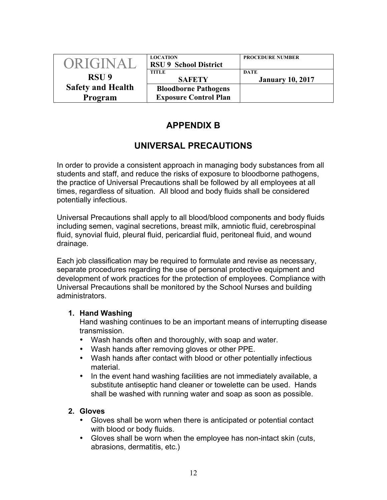| ORIGINAL                 | <b>LOCATION</b><br><b>RSU 9 School District</b> | <b>PROCEDURE NUMBER</b>         |
|--------------------------|-------------------------------------------------|---------------------------------|
| RSU <sub>9</sub>         | TITLE<br><b>SAFETY</b>                          | DATE<br><b>January 10, 2017</b> |
| <b>Safety and Health</b> | <b>Bloodborne Pathogens</b>                     |                                 |
| Program                  | <b>Exposure Control Plan</b>                    |                                 |

## **APPENDIX B**

## **UNIVERSAL PRECAUTIONS**

In order to provide a consistent approach in managing body substances from all students and staff, and reduce the risks of exposure to bloodborne pathogens, the practice of Universal Precautions shall be followed by all employees at all times, regardless of situation. All blood and body fluids shall be considered potentially infectious.

Universal Precautions shall apply to all blood/blood components and body fluids including semen, vaginal secretions, breast milk, amniotic fluid, cerebrospinal fluid, synovial fluid, pleural fluid, pericardial fluid, peritoneal fluid, and wound drainage.

Each job classification may be required to formulate and revise as necessary, separate procedures regarding the use of personal protective equipment and development of work practices for the protection of employees. Compliance with Universal Precautions shall be monitored by the School Nurses and building administrators.

### **1. Hand Washing**

Hand washing continues to be an important means of interrupting disease transmission.

- Wash hands often and thoroughly, with soap and water.
- Wash hands after removing gloves or other PPE.
- Wash hands after contact with blood or other potentially infectious material.
- In the event hand washing facilities are not immediately available, a substitute antiseptic hand cleaner or towelette can be used. Hands shall be washed with running water and soap as soon as possible.

### **2. Gloves**

- Gloves shall be worn when there is anticipated or potential contact with blood or body fluids.
- Gloves shall be worn when the employee has non-intact skin (cuts, abrasions, dermatitis, etc.)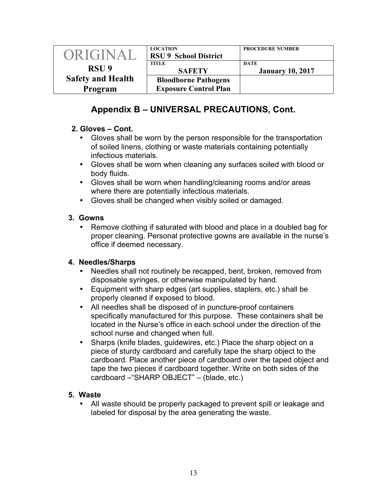| ORIGINAL                 | <b>LOCATION</b><br><b>RSU 9 School District</b> | <b>PROCEDURE NUMBER</b>                |
|--------------------------|-------------------------------------------------|----------------------------------------|
| RSU <sub>9</sub>         | TITLE<br><b>SAFETY</b>                          | <b>DATE</b><br><b>January 10, 2017</b> |
| <b>Safety and Health</b> | <b>Bloodborne Pathogens</b>                     |                                        |
| Program                  | <b>Exposure Control Plan</b>                    |                                        |

# **Appendix B – UNIVERSAL PRECAUTIONS, Cont.**

## **2. Gloves – Cont.**

- Gloves shall be worn by the person responsible for the transportation of soiled linens, clothing or waste materials containing potentially infectious materials.
- Gloves shall be worn when cleaning any surfaces soiled with blood or body fluids.
- Gloves shall be worn when handling/cleaning rooms and/or areas where there are potentially infectious materials.
- Gloves shall be changed when visibly soiled or damaged.

## **3. Gowns**

• Remove clothing if saturated with blood and place in a doubled bag for proper cleaning. Personal protective gowns are available in the nurse's office if deemed necessary.

### **4. Needles/Sharps**

- Needles shall not routinely be recapped, bent, broken, removed from disposable syringes, or otherwise manipulated by hand.
- Equipment with sharp edges (art supplies, staplers, etc.) shall be properly cleaned if exposed to blood.
- All needles shall be disposed of in puncture-proof containers specifically manufactured for this purpose. These containers shall be located in the Nurse's office in each school under the direction of the school nurse and changed when full.
- Sharps (knife blades, guidewires, etc.) Place the sharp object on a piece of sturdy cardboard and carefully tape the sharp object to the cardboard. Place another piece of cardboard over the taped object and tape the two pieces if cardboard together. Write on both sides of the cardboard –"SHARP OBJECT" – (blade, etc.)

### **5. Waste**

• All waste should be properly packaged to prevent spill or leakage and labeled for disposal by the area generating the waste.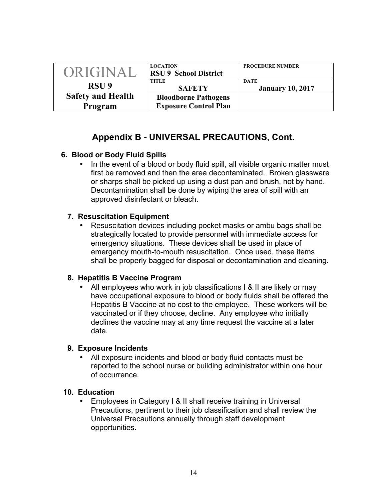| ORIGINAL                 | <b>LOCATION</b><br><b>RSU 9 School District</b> | <b>PROCEDURE NUMBER</b>                |  |
|--------------------------|-------------------------------------------------|----------------------------------------|--|
| RSU <sub>9</sub>         | TITLE<br><b>SAFETY</b>                          | <b>DATE</b><br><b>January 10, 2017</b> |  |
| <b>Safety and Health</b> | <b>Bloodborne Pathogens</b>                     |                                        |  |
| Program                  | <b>Exposure Control Plan</b>                    |                                        |  |

## **Appendix B - UNIVERSAL PRECAUTIONS, Cont.**

### **6. Blood or Body Fluid Spills**

• In the event of a blood or body fluid spill, all visible organic matter must first be removed and then the area decontaminated. Broken glassware or sharps shall be picked up using a dust pan and brush, not by hand. Decontamination shall be done by wiping the area of spill with an approved disinfectant or bleach.

### **7. Resuscitation Equipment**

• Resuscitation devices including pocket masks or ambu bags shall be strategically located to provide personnel with immediate access for emergency situations. These devices shall be used in place of emergency mouth-to-mouth resuscitation. Once used, these items shall be properly bagged for disposal or decontamination and cleaning.

### **8. Hepatitis B Vaccine Program**

All employees who work in job classifications I & II are likely or may have occupational exposure to blood or body fluids shall be offered the Hepatitis B Vaccine at no cost to the employee. These workers will be vaccinated or if they choose, decline. Any employee who initially declines the vaccine may at any time request the vaccine at a later date.

### **9. Exposure Incidents**

• All exposure incidents and blood or body fluid contacts must be reported to the school nurse or building administrator within one hour of occurrence.

### **10. Education**

• Employees in Category I & II shall receive training in Universal Precautions, pertinent to their job classification and shall review the Universal Precautions annually through staff development opportunities.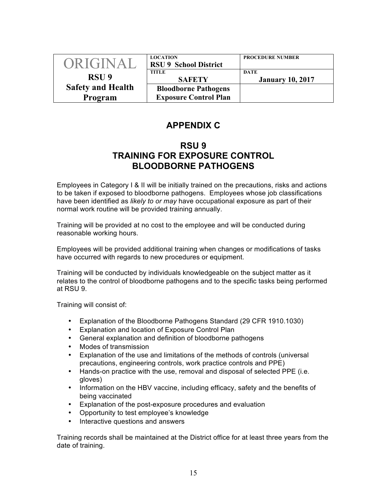| ORIGINAL                 | <b>LOCATION</b><br><b>RSU 9 School District</b> | <b>PROCEDURE NUMBER</b>                |
|--------------------------|-------------------------------------------------|----------------------------------------|
| RSU <sub>9</sub>         | <b>TITLE</b><br><b>SAFETY</b>                   | <b>DATE</b><br><b>January 10, 2017</b> |
| <b>Safety and Health</b> | <b>Bloodborne Pathogens</b>                     |                                        |
| Program                  | <b>Exposure Control Plan</b>                    |                                        |

## **APPENDIX C**

## **RSU 9 TRAINING FOR EXPOSURE CONTROL BLOODBORNE PATHOGENS**

Employees in Category I & II will be initially trained on the precautions, risks and actions to be taken if exposed to bloodborne pathogens. Employees whose job classifications have been identified as *likely to or may* have occupational exposure as part of their normal work routine will be provided training annually.

Training will be provided at no cost to the employee and will be conducted during reasonable working hours.

Employees will be provided additional training when changes or modifications of tasks have occurred with regards to new procedures or equipment.

Training will be conducted by individuals knowledgeable on the subject matter as it relates to the control of bloodborne pathogens and to the specific tasks being performed at RSU 9.

Training will consist of:

- Explanation of the Bloodborne Pathogens Standard (29 CFR 1910.1030)
- Explanation and location of Exposure Control Plan
- General explanation and definition of bloodborne pathogens
- Modes of transmission
- Explanation of the use and limitations of the methods of controls (universal precautions, engineering controls, work practice controls and PPE)
- Hands-on practice with the use, removal and disposal of selected PPE (i.e. gloves)
- Information on the HBV vaccine, including efficacy, safety and the benefits of being vaccinated
- Explanation of the post-exposure procedures and evaluation
- Opportunity to test employee's knowledge
- Interactive questions and answers

Training records shall be maintained at the District office for at least three years from the date of training.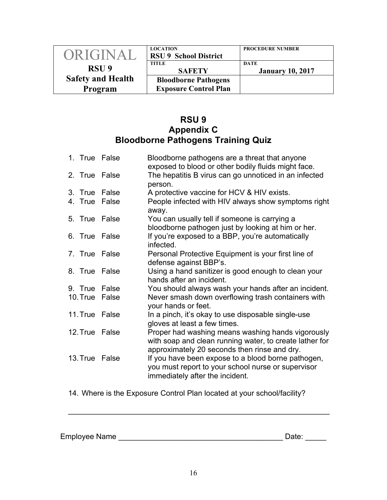| ORIGINAL                 | <b>LOCATION</b><br><b>RSU 9 School District</b> | <b>PROCEDURE NUMBER</b>                |
|--------------------------|-------------------------------------------------|----------------------------------------|
| RSU <sub>9</sub>         | TITLE<br><b>SAFETY</b>                          | <b>DATE</b><br><b>January 10, 2017</b> |
| <b>Safety and Health</b> | <b>Bloodborne Pathogens</b>                     |                                        |
| Program                  | <b>Exposure Control Plan</b>                    |                                        |

## **RSU 9 Appendix C Bloodborne Pathogens Training Quiz**

|  | 1. True False  | Bloodborne pathogens are a threat that anyone<br>exposed to blood or other bodily fluids might face.                                                         |
|--|----------------|--------------------------------------------------------------------------------------------------------------------------------------------------------------|
|  | 2. True False  | The hepatitis B virus can go unnoticed in an infected<br>person.                                                                                             |
|  | 3. True False  | A protective vaccine for HCV & HIV exists.                                                                                                                   |
|  | 4. True False  | People infected with HIV always show symptoms right<br>away.                                                                                                 |
|  | 5. True False  | You can usually tell if someone is carrying a<br>bloodborne pathogen just by looking at him or her.                                                          |
|  | 6. True False  | If you're exposed to a BBP, you're automatically<br>infected.                                                                                                |
|  | 7. True False  | Personal Protective Equipment is your first line of<br>defense against BBP's.                                                                                |
|  | 8. True False  | Using a hand sanitizer is good enough to clean your<br>hands after an incident.                                                                              |
|  | 9. True False  | You should always wash your hands after an incident.                                                                                                         |
|  | 10. True False | Never smash down overflowing trash containers with<br>your hands or feet.                                                                                    |
|  | 11. True False | In a pinch, it's okay to use disposable single-use<br>gloves at least a few times.                                                                           |
|  | 12. True False | Proper had washing means washing hands vigorously<br>with soap and clean running water, to create lather for<br>approximately 20 seconds then rinse and dry. |
|  | 13. True False | If you have been expose to a blood borne pathogen,<br>you must report to your school nurse or supervisor<br>immediately after the incident.                  |

14. Where is the Exposure Control Plan located at your school/facility?

 $\mathcal{L}_\text{max}$  , and the contract of the contract of the contract of the contract of the contract of the contract of the contract of the contract of the contract of the contract of the contract of the contract of the contr

Employee Name \_\_\_\_\_\_\_\_\_\_\_\_\_\_\_\_\_\_\_\_\_\_\_\_\_\_\_\_\_\_\_\_\_\_\_\_\_\_\_ Date: \_\_\_\_\_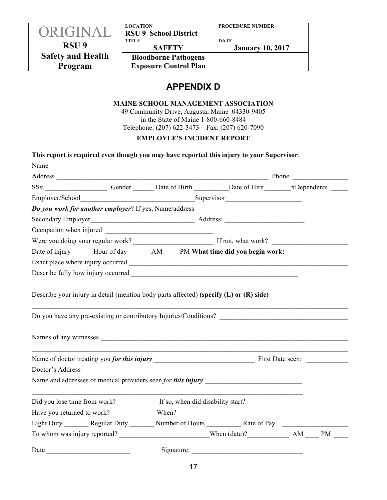|                          | <b>LOCATION</b>              | <b>PROCEDURE NUMBER</b> |
|--------------------------|------------------------------|-------------------------|
| ORIGINAL                 | <b>RSU 9 School District</b> |                         |
|                          | <b>TITLE</b>                 | <b>DATE</b>             |
| RSU <sub>9</sub>         | <b>SAFETY</b>                | <b>January 10, 2017</b> |
| <b>Safety and Health</b> | <b>Bloodborne Pathogens</b>  |                         |
| Program                  | <b>Exposure Control Plan</b> |                         |
|                          |                              |                         |

## **APPENDIX D**

#### **MAINE SCHOOL MANAGEMENT ASSOCIATION**

49 Community Drive, Augusta, Maine 04330-9405 in the State of Maine 1-800-660-8484 Telephone: (207) 622-3473 Fax: (207) 620-7090

#### **EMPLOYEE'S INCIDENT REPORT**

|                                                        |                                                        | This report is required even though you may have reported this injury to your Supervisor.                                                                                                                                      |  |
|--------------------------------------------------------|--------------------------------------------------------|--------------------------------------------------------------------------------------------------------------------------------------------------------------------------------------------------------------------------------|--|
|                                                        |                                                        | Name                                                                                                                                                                                                                           |  |
|                                                        |                                                        | Address Phone Phone Phone Phone Phone Phone Phone Phone Phone Phone Phone Phone Phone Phone Phone Phone Phone Phone Phone Phone Phone Phone Phone Phone Phone Phone Phone Phone Phone Phone Phone Phone Phone Phone Phone Phon |  |
|                                                        |                                                        | SS# _______________________Gender ________Date of Birth __________Date of Hire _______#Dependents ________                                                                                                                     |  |
|                                                        |                                                        |                                                                                                                                                                                                                                |  |
| Do you work for another employer? If yes, Name/address |                                                        |                                                                                                                                                                                                                                |  |
| Secondary Employer                                     |                                                        |                                                                                                                                                                                                                                |  |
|                                                        |                                                        |                                                                                                                                                                                                                                |  |
|                                                        |                                                        |                                                                                                                                                                                                                                |  |
|                                                        |                                                        | Date of injury ______ Hour of day _______ AM _____ PM What time did you begin work: ____                                                                                                                                       |  |
|                                                        |                                                        |                                                                                                                                                                                                                                |  |
|                                                        |                                                        |                                                                                                                                                                                                                                |  |
|                                                        |                                                        |                                                                                                                                                                                                                                |  |
|                                                        |                                                        |                                                                                                                                                                                                                                |  |
| Doctor's Address                                       | <u> 1980 - Andrea Station, Amerikaansk politiker (</u> |                                                                                                                                                                                                                                |  |
|                                                        |                                                        |                                                                                                                                                                                                                                |  |
|                                                        |                                                        |                                                                                                                                                                                                                                |  |
|                                                        |                                                        |                                                                                                                                                                                                                                |  |
|                                                        |                                                        | Light Duty _________ Regular Duty _________ Number of Hours _____________ Rate of Pay ______________                                                                                                                           |  |
|                                                        |                                                        | To whom was injury reported? When (date)? AM MEM N                                                                                                                                                                             |  |
| Date                                                   |                                                        | Signature:                                                                                                                                                                                                                     |  |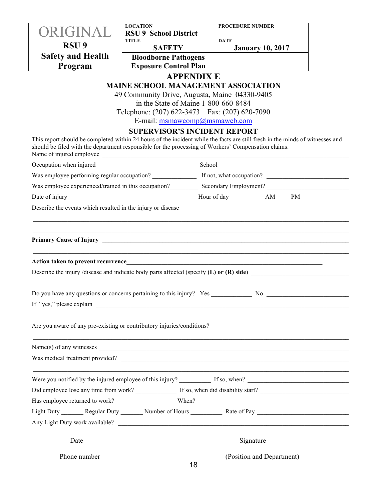|                          | <b>LOCATION</b>                                                                                                                                                                                                                              | <b>PROCEDURE NUMBER</b>                |  |
|--------------------------|----------------------------------------------------------------------------------------------------------------------------------------------------------------------------------------------------------------------------------------------|----------------------------------------|--|
| <b>PRIGINAL</b>          | <b>RSU 9 School District</b>                                                                                                                                                                                                                 |                                        |  |
| RSU <sub>9</sub>         | <b>TITLE</b><br><b>SAFETY</b>                                                                                                                                                                                                                | <b>DATE</b><br><b>January 10, 2017</b> |  |
| <b>Safety and Health</b> | <b>Bloodborne Pathogens</b>                                                                                                                                                                                                                  |                                        |  |
| Program                  | <b>Exposure Control Plan</b>                                                                                                                                                                                                                 |                                        |  |
|                          | <b>APPENDIX E</b>                                                                                                                                                                                                                            |                                        |  |
|                          | <b>MAINE SCHOOL MANAGEMENT ASSOCIATION</b>                                                                                                                                                                                                   |                                        |  |
|                          | 49 Community Drive, Augusta, Maine 04330-9405                                                                                                                                                                                                |                                        |  |
|                          | in the State of Maine 1-800-660-8484<br>Telephone: (207) 622-3473  Fax: (207) 620-7090                                                                                                                                                       |                                        |  |
|                          | E-mail: msmawcomp@msmaweb.com                                                                                                                                                                                                                |                                        |  |
|                          | <b>SUPERVISOR'S INCIDENT REPORT</b>                                                                                                                                                                                                          |                                        |  |
|                          | This report should be completed within 24 hours of the incident while the facts are still fresh in the minds of witnesses and<br>should be filed with the department responsible for the processing of Workers' Compensation claims.         |                                        |  |
|                          |                                                                                                                                                                                                                                              |                                        |  |
|                          |                                                                                                                                                                                                                                              |                                        |  |
|                          |                                                                                                                                                                                                                                              |                                        |  |
|                          |                                                                                                                                                                                                                                              |                                        |  |
|                          |                                                                                                                                                                                                                                              |                                        |  |
|                          |                                                                                                                                                                                                                                              |                                        |  |
|                          |                                                                                                                                                                                                                                              |                                        |  |
|                          |                                                                                                                                                                                                                                              |                                        |  |
|                          |                                                                                                                                                                                                                                              |                                        |  |
|                          |                                                                                                                                                                                                                                              |                                        |  |
|                          | Describe the injury /disease and indicate body parts affected (specify $(L)$ or $(R)$ side)                                                                                                                                                  |                                        |  |
|                          |                                                                                                                                                                                                                                              |                                        |  |
|                          |                                                                                                                                                                                                                                              |                                        |  |
| If "yes," please explain |                                                                                                                                                                                                                                              |                                        |  |
|                          |                                                                                                                                                                                                                                              |                                        |  |
|                          | Are you aware of any pre-existing or contributory injuries/conditions?<br><u>Letting</u> the set of any pre-existing or contributory injuries/conditions?<br><u>Letting the set of any pre-existing or contributory injuries/conditions?</u> |                                        |  |
|                          |                                                                                                                                                                                                                                              |                                        |  |
|                          |                                                                                                                                                                                                                                              |                                        |  |
|                          | Was medical treatment provided?                                                                                                                                                                                                              |                                        |  |
|                          |                                                                                                                                                                                                                                              |                                        |  |
|                          |                                                                                                                                                                                                                                              |                                        |  |
|                          |                                                                                                                                                                                                                                              |                                        |  |
|                          |                                                                                                                                                                                                                                              |                                        |  |
|                          |                                                                                                                                                                                                                                              |                                        |  |
|                          |                                                                                                                                                                                                                                              |                                        |  |
|                          |                                                                                                                                                                                                                                              |                                        |  |
| Date                     |                                                                                                                                                                                                                                              | Signature                              |  |
| Phone number             |                                                                                                                                                                                                                                              | (Position and Department)              |  |
|                          | 18                                                                                                                                                                                                                                           |                                        |  |